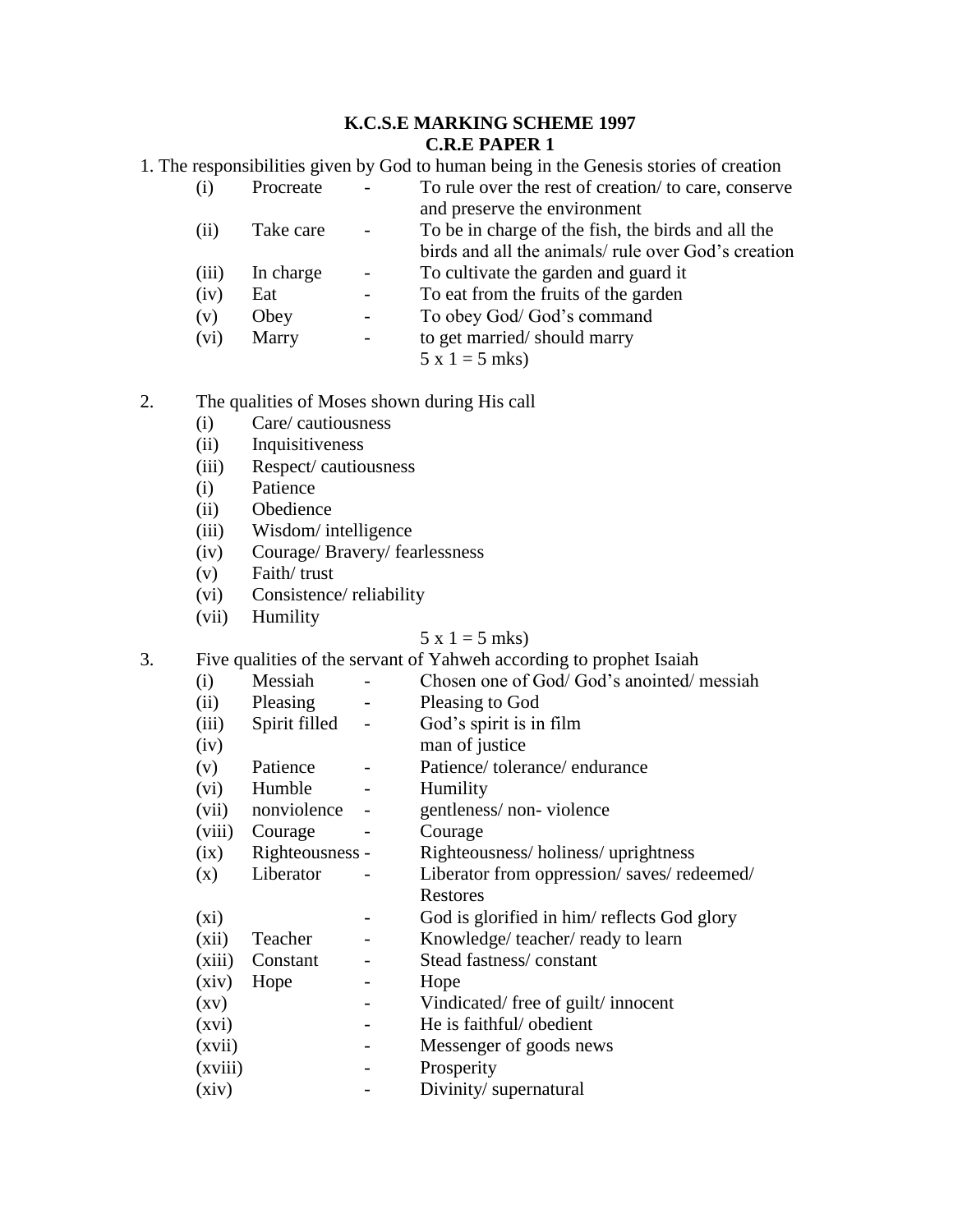## **K.C.S.E MARKING SCHEME 1997 C.R.E PAPER 1**

1. The responsibilities given by God to human being in the Genesis stories of creation

| (i)   | Procreate |                          | To rule over the rest of creation/to care, conserve |
|-------|-----------|--------------------------|-----------------------------------------------------|
|       |           |                          | and preserve the environment                        |
| (ii)  | Take care | $\sim$                   | To be in charge of the fish, the birds and all the  |
|       |           |                          | birds and all the animals/ rule over God's creation |
| (iii) | In charge | $\mathbf{r}$             | To cultivate the garden and guard it                |
| (iv)  | Eat       |                          | To eat from the fruits of the garden                |
| (v)   | Obey      | $\overline{\phantom{0}}$ | To obey God/God's command                           |

(vi) Marry - to get married/ should marry

 $5 x 1 = 5$  mks)

# 2. The qualities of Moses shown during His call

- (i) Care/ cautiousness
- (ii) Inquisitiveness
- (iii) Respect/ cautiousness
- (i) Patience
- (ii) Obedience
- (iii) Wisdom/ intelligence
- (iv) Courage/ Bravery/ fearlessness
- (v) Faith/ trust
- (vi) Consistence/ reliability
- (vii) Humility

# $5 x 1 = 5$  mks)

3. Five qualities of the servant of Yahweh according to prophet Isaiah

| (i)                | Messiah         |                          | Chosen one of God/God's anointed/messiah    |
|--------------------|-----------------|--------------------------|---------------------------------------------|
| (ii)               | Pleasing        |                          | Pleasing to God                             |
| (iii)              | Spirit filled   |                          | God's spirit is in film                     |
| (iv)               |                 |                          | man of justice                              |
| (v)                | Patience        |                          | Patience/tolerance/endurance                |
| (vi)               | Humble          | -                        | Humility                                    |
| (vii)              | nonviolence     | $\overline{\phantom{a}}$ | gentleness/non-violence                     |
| (viii)             | Courage         |                          | Courage                                     |
| (ix)               | Righteousness - |                          | Righteousness/holiness/uprightness          |
| (x)                | Liberator       |                          | Liberator from oppression/saves/redeemed/   |
|                    |                 |                          | Restores                                    |
| $(x_i)$            |                 |                          | God is glorified in him/ reflects God glory |
| (xii)              | Teacher         |                          | Knowledge/ teacher/ ready to learn          |
| (xiii)             | Constant        |                          | Stead fastness/constant                     |
| (xiv)              | Hope            |                          | Hope                                        |
| $\left( xy\right)$ |                 |                          | Vindicated/free of guilt/innocent           |
| (xvi)              |                 | -                        | He is faithful/ obedient                    |
| (xvii)             |                 |                          | Messenger of goods news                     |
| (xviii)            |                 |                          | Prosperity                                  |
| (xiv)              |                 |                          | Divinity/supernatural                       |
|                    |                 |                          |                                             |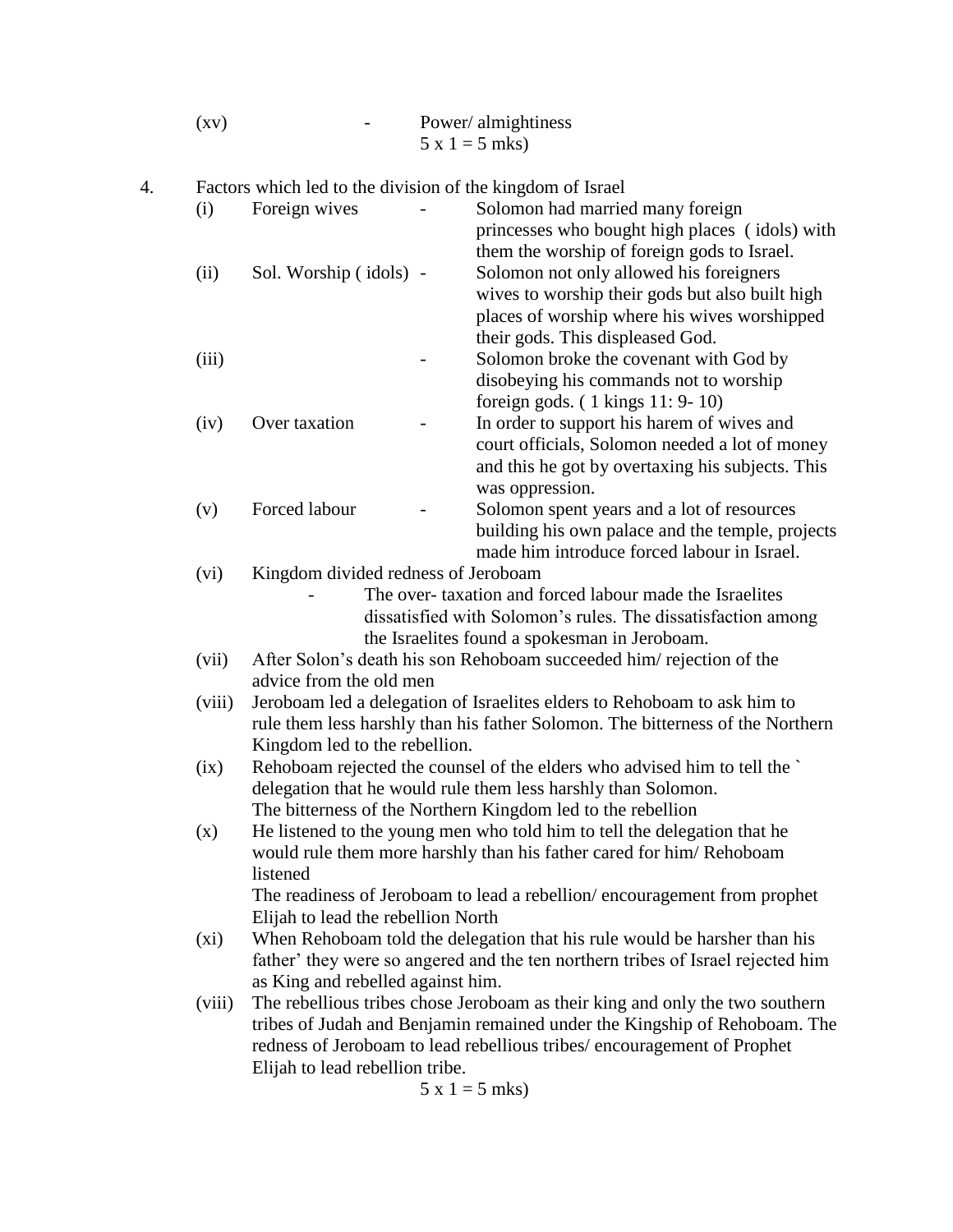| $\left( xy\right)$ | Power/almightiness |
|--------------------|--------------------|
|                    | $5 x 1 = 5$ mks)   |

4. Factors which led to the division of the kingdom of Israel

| (i)     | Foreign wives                                                                  |  | Solomon had married many foreign<br>princesses who bought high places (idols) with |  |  |  |  |
|---------|--------------------------------------------------------------------------------|--|------------------------------------------------------------------------------------|--|--|--|--|
|         |                                                                                |  | them the worship of foreign gods to Israel.                                        |  |  |  |  |
| (ii)    | Sol. Worship (idols) -                                                         |  | Solomon not only allowed his foreigners                                            |  |  |  |  |
|         |                                                                                |  | wives to worship their gods but also built high                                    |  |  |  |  |
|         |                                                                                |  | places of worship where his wives worshipped                                       |  |  |  |  |
|         |                                                                                |  | their gods. This displeased God.                                                   |  |  |  |  |
| (iii)   |                                                                                |  | Solomon broke the covenant with God by                                             |  |  |  |  |
|         |                                                                                |  | disobeying his commands not to worship                                             |  |  |  |  |
|         |                                                                                |  | foreign gods. $(1 \text{ kings } 11: 9-10)$                                        |  |  |  |  |
| (iv)    | Over taxation                                                                  |  | In order to support his harem of wives and                                         |  |  |  |  |
|         |                                                                                |  | court officials, Solomon needed a lot of money                                     |  |  |  |  |
|         |                                                                                |  | and this he got by overtaxing his subjects. This                                   |  |  |  |  |
|         |                                                                                |  | was oppression.                                                                    |  |  |  |  |
| (v)     | Forced labour                                                                  |  | Solomon spent years and a lot of resources                                         |  |  |  |  |
|         |                                                                                |  | building his own palace and the temple, projects                                   |  |  |  |  |
|         |                                                                                |  | made him introduce forced labour in Israel.                                        |  |  |  |  |
| (vi)    | Kingdom divided redness of Jeroboam                                            |  |                                                                                    |  |  |  |  |
|         |                                                                                |  | The over-taxation and forced labour made the Israelites                            |  |  |  |  |
|         |                                                                                |  | dissatisfied with Solomon's rules. The dissatisfaction among                       |  |  |  |  |
|         |                                                                                |  | the Israelites found a spokesman in Jeroboam.                                      |  |  |  |  |
| (vii)   |                                                                                |  | After Solon's death his son Rehoboam succeeded him/rejection of the                |  |  |  |  |
|         | advice from the old men                                                        |  |                                                                                    |  |  |  |  |
| (viii)  | Jeroboam led a delegation of Israelites elders to Rehoboam to ask him to       |  |                                                                                    |  |  |  |  |
|         | rule them less harshly than his father Solomon. The bitterness of the Northern |  |                                                                                    |  |  |  |  |
|         | Kingdom led to the rebellion.                                                  |  |                                                                                    |  |  |  |  |
| (ix)    | Rehoboam rejected the counsel of the elders who advised him to tell the        |  |                                                                                    |  |  |  |  |
|         | delegation that he would rule them less harshly than Solomon.                  |  |                                                                                    |  |  |  |  |
|         |                                                                                |  | The bitterness of the Northern Kingdom led to the rebellion                        |  |  |  |  |
| (x)     | He listened to the young men who told him to tell the delegation that he       |  |                                                                                    |  |  |  |  |
|         |                                                                                |  | would rule them more harshly than his father cared for him/Rehoboam                |  |  |  |  |
|         | listened                                                                       |  |                                                                                    |  |  |  |  |
|         |                                                                                |  | The readiness of Jeroboam to lead a rebellion/encouragement from prophet           |  |  |  |  |
|         | Elijah to lead the rebellion North                                             |  |                                                                                    |  |  |  |  |
| $(x_i)$ |                                                                                |  | When Rehoboam told the delegation that his rule would be harsher than his          |  |  |  |  |
|         |                                                                                |  | father' they were so angered and the ten northern tribes of Israel rejected him    |  |  |  |  |
|         | as King and rebelled against him.                                              |  |                                                                                    |  |  |  |  |
| (viii)  |                                                                                |  | The rebellious tribes chose Jeroboam as their king and only the two southern       |  |  |  |  |
|         | tribes of Judah and Benjamin remained under the Kingship of Rehoboam. The      |  |                                                                                    |  |  |  |  |
|         |                                                                                |  | redness of Jeroboam to lead rebellious tribes/encouragement of Prophet             |  |  |  |  |
|         | Elijah to lead rebellion tribe.                                                |  |                                                                                    |  |  |  |  |
|         |                                                                                |  |                                                                                    |  |  |  |  |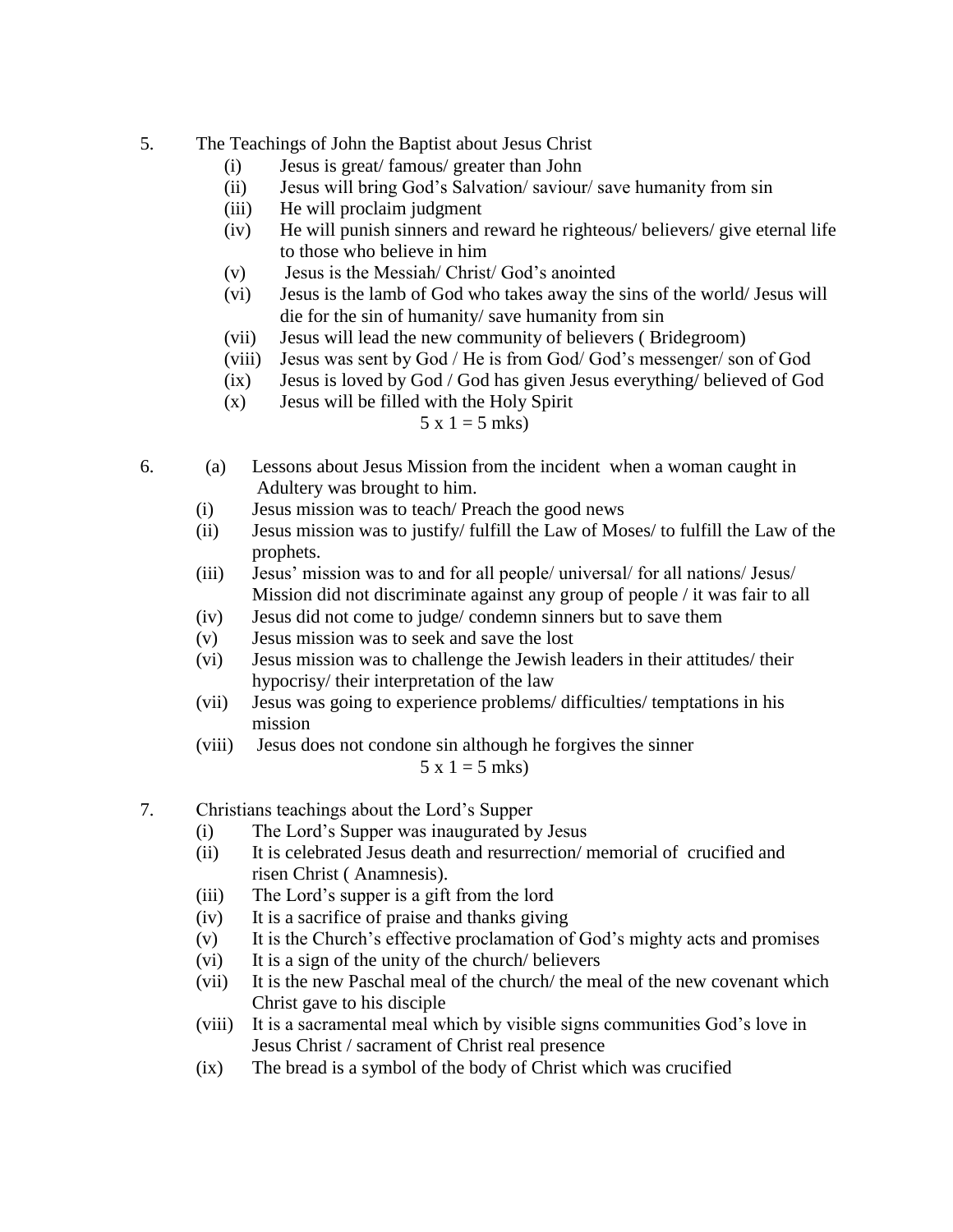## 5. The Teachings of John the Baptist about Jesus Christ

- (i) Jesus is great/ famous/ greater than John
- (ii) Jesus will bring God's Salvation/ saviour/ save humanity from sin
- (iii) He will proclaim judgment
- (iv) He will punish sinners and reward he righteous/ believers/ give eternal life to those who believe in him
- (v) Jesus is the Messiah/ Christ/ God's anointed
- (vi) Jesus is the lamb of God who takes away the sins of the world/ Jesus will die for the sin of humanity/ save humanity from sin
- (vii) Jesus will lead the new community of believers ( Bridegroom)
- (viii) Jesus was sent by God / He is from God/ God's messenger/ son of God
- (ix) Jesus is loved by God / God has given Jesus everything/ believed of God
- (x) Jesus will be filled with the Holy Spirit

## $5 x 1 = 5$  mks)

- 6. (a) Lessons about Jesus Mission from the incident when a woman caught in Adultery was brought to him.
	- (i) Jesus mission was to teach/ Preach the good news
	- (ii) Jesus mission was to justify/ fulfill the Law of Moses/ to fulfill the Law of the prophets.
	- (iii) Jesus' mission was to and for all people/ universal/ for all nations/ Jesus/ Mission did not discriminate against any group of people / it was fair to all
	- (iv) Jesus did not come to judge/ condemn sinners but to save them
	- (v) Jesus mission was to seek and save the lost
	- (vi) Jesus mission was to challenge the Jewish leaders in their attitudes/ their hypocrisy/ their interpretation of the law
	- (vii) Jesus was going to experience problems/ difficulties/ temptations in his mission
	- (viii) Jesus does not condone sin although he forgives the sinner

 $5 x 1 = 5$  mks)

- 7. Christians teachings about the Lord's Supper
	- (i) The Lord's Supper was inaugurated by Jesus
	- (ii) It is celebrated Jesus death and resurrection/ memorial of crucified and risen Christ ( Anamnesis).
	- (iii) The Lord's supper is a gift from the lord
	- (iv) It is a sacrifice of praise and thanks giving
	- (v) It is the Church's effective proclamation of God's mighty acts and promises
	- (vi) It is a sign of the unity of the church/ believers
	- (vii) It is the new Paschal meal of the church/ the meal of the new covenant which Christ gave to his disciple
	- (viii) It is a sacramental meal which by visible signs communities God's love in Jesus Christ / sacrament of Christ real presence
	- (ix) The bread is a symbol of the body of Christ which was crucified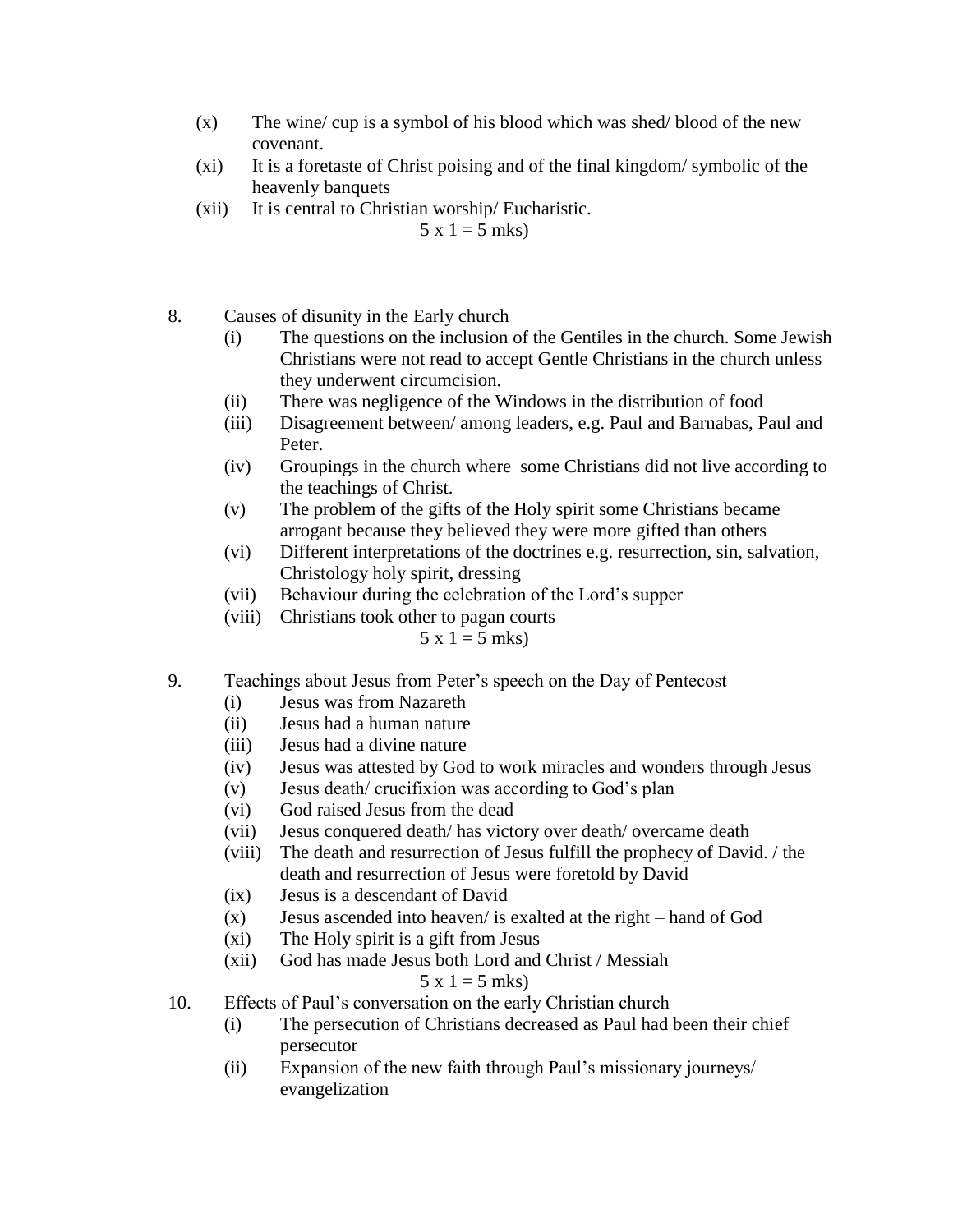- $(x)$  The wine/ cup is a symbol of his blood which was shed/ blood of the new covenant.
- (xi) It is a foretaste of Christ poising and of the final kingdom/ symbolic of the heavenly banquets
- (xii) It is central to Christian worship/ Eucharistic.

 $5 \times 1 = 5$  mks)

- 8. Causes of disunity in the Early church
	- (i) The questions on the inclusion of the Gentiles in the church. Some Jewish Christians were not read to accept Gentle Christians in the church unless they underwent circumcision.
	- (ii) There was negligence of the Windows in the distribution of food
	- (iii) Disagreement between/ among leaders, e.g. Paul and Barnabas, Paul and Peter.
	- (iv) Groupings in the church where some Christians did not live according to the teachings of Christ.
	- (v) The problem of the gifts of the Holy spirit some Christians became arrogant because they believed they were more gifted than others
	- (vi) Different interpretations of the doctrines e.g. resurrection, sin, salvation, Christology holy spirit, dressing
	- (vii) Behaviour during the celebration of the Lord's supper
	- (viii) Christians took other to pagan courts

 $5 x 1 = 5$  mks)

- 9. Teachings about Jesus from Peter's speech on the Day of Pentecost
	- (i) Jesus was from Nazareth
	- (ii) Jesus had a human nature
	- (iii) Jesus had a divine nature
	- (iv) Jesus was attested by God to work miracles and wonders through Jesus
	- (v) Jesus death/ crucifixion was according to God's plan
	- (vi) God raised Jesus from the dead
	- (vii) Jesus conquered death/ has victory over death/ overcame death
	- (viii) The death and resurrection of Jesus fulfill the prophecy of David. / the death and resurrection of Jesus were foretold by David
	- (ix) Jesus is a descendant of David
	- (x) Jesus ascended into heaven/ is exalted at the right hand of God
	- (xi) The Holy spirit is a gift from Jesus
	- (xii) God has made Jesus both Lord and Christ / Messiah

 $5 \times 1 = 5 \text{ mks}$ 

- 10. Effects of Paul's conversation on the early Christian church
	- (i) The persecution of Christians decreased as Paul had been their chief persecutor
	- (ii) Expansion of the new faith through Paul's missionary journeys/ evangelization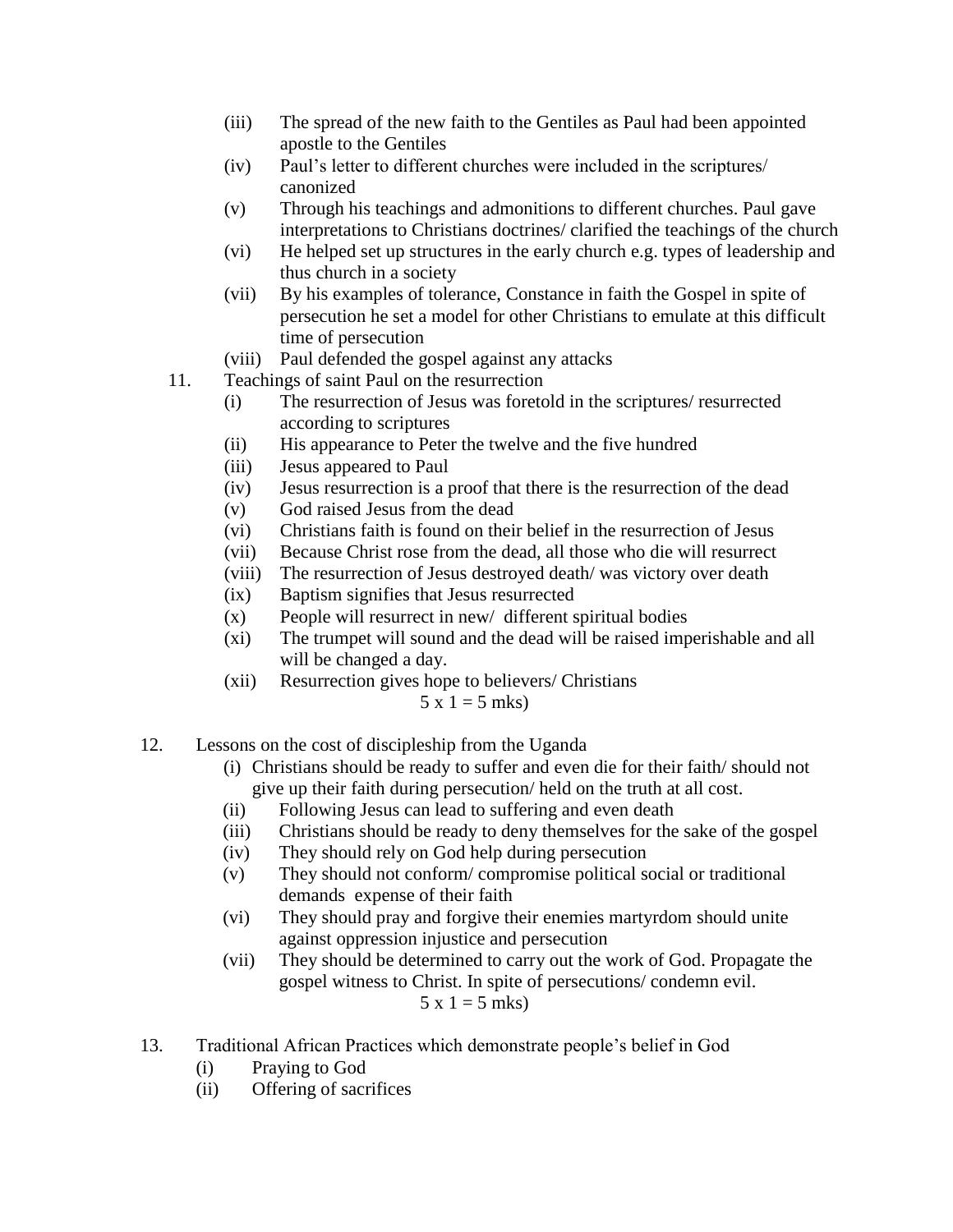- (iii) The spread of the new faith to the Gentiles as Paul had been appointed apostle to the Gentiles
- (iv) Paul's letter to different churches were included in the scriptures/ canonized
- (v) Through his teachings and admonitions to different churches. Paul gave interpretations to Christians doctrines/ clarified the teachings of the church
- (vi) He helped set up structures in the early church e.g. types of leadership and thus church in a society
- (vii) By his examples of tolerance, Constance in faith the Gospel in spite of persecution he set a model for other Christians to emulate at this difficult time of persecution
- (viii) Paul defended the gospel against any attacks
- 11. Teachings of saint Paul on the resurrection
	- (i) The resurrection of Jesus was foretold in the scriptures/ resurrected according to scriptures
	- (ii) His appearance to Peter the twelve and the five hundred
	- (iii) Jesus appeared to Paul
	- (iv) Jesus resurrection is a proof that there is the resurrection of the dead
	- (v) God raised Jesus from the dead
	- (vi) Christians faith is found on their belief in the resurrection of Jesus
	- (vii) Because Christ rose from the dead, all those who die will resurrect
	- (viii) The resurrection of Jesus destroyed death/ was victory over death
	- (ix) Baptism signifies that Jesus resurrected
	- (x) People will resurrect in new/ different spiritual bodies
	- (xi) The trumpet will sound and the dead will be raised imperishable and all will be changed a day.
	- (xii) Resurrection gives hope to believers/ Christians

 $5 x 1 = 5$  mks)

- 12. Lessons on the cost of discipleship from the Uganda
	- (i) Christians should be ready to suffer and even die for their faith/ should not give up their faith during persecution/ held on the truth at all cost.
	- (ii) Following Jesus can lead to suffering and even death
	- (iii) Christians should be ready to deny themselves for the sake of the gospel
	- (iv) They should rely on God help during persecution
	- (v) They should not conform/ compromise political social or traditional demands expense of their faith
	- (vi) They should pray and forgive their enemies martyrdom should unite against oppression injustice and persecution
	- (vii) They should be determined to carry out the work of God. Propagate the gospel witness to Christ. In spite of persecutions/ condemn evil.  $5 x 1 = 5$  mks)
- 13. Traditional African Practices which demonstrate people's belief in God
	- (i) Praying to God
	- (ii) Offering of sacrifices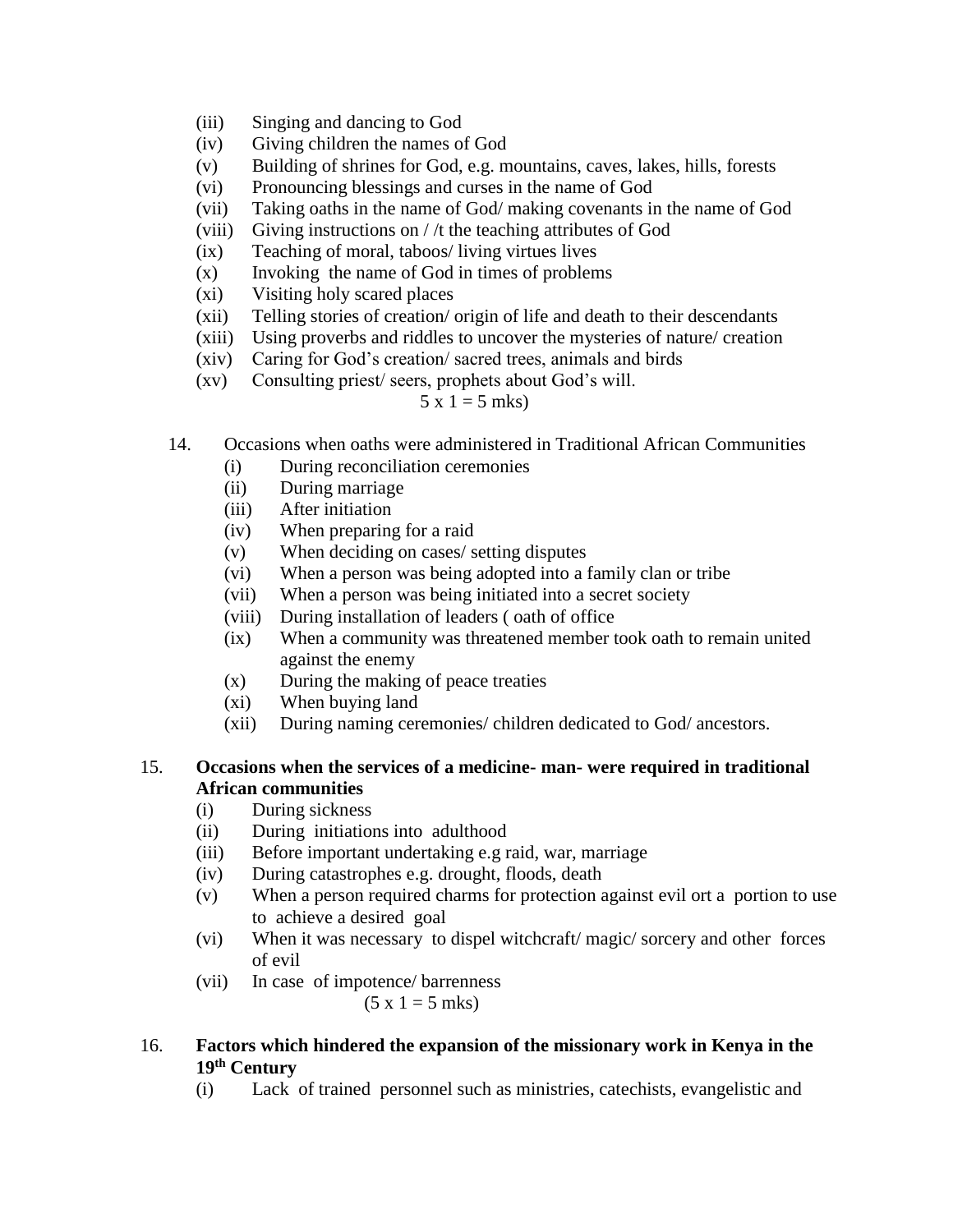- (iii) Singing and dancing to God
- (iv) Giving children the names of God
- (v) Building of shrines for God, e.g. mountains, caves, lakes, hills, forests
- (vi) Pronouncing blessings and curses in the name of God
- (vii) Taking oaths in the name of God/ making covenants in the name of God
- (viii) Giving instructions on / /t the teaching attributes of God
- (ix) Teaching of moral, taboos/ living virtues lives
- (x) Invoking the name of God in times of problems
- (xi) Visiting holy scared places
- (xii) Telling stories of creation/ origin of life and death to their descendants
- (xiii) Using proverbs and riddles to uncover the mysteries of nature/ creation
- (xiv) Caring for God's creation/ sacred trees, animals and birds
- (xv) Consulting priest/ seers, prophets about God's will.

## $5 x 1 = 5$  mks)

- 14. Occasions when oaths were administered in Traditional African Communities
	- (i) During reconciliation ceremonies
	- (ii) During marriage
	- (iii) After initiation
	- (iv) When preparing for a raid
	- (v) When deciding on cases/ setting disputes
	- (vi) When a person was being adopted into a family clan or tribe
	- (vii) When a person was being initiated into a secret society
	- (viii) During installation of leaders ( oath of office
	- (ix) When a community was threatened member took oath to remain united against the enemy
	- (x) During the making of peace treaties
	- (xi) When buying land
	- (xii) During naming ceremonies/ children dedicated to God/ ancestors.

## 15. **Occasions when the services of a medicine- man- were required in traditional African communities**

- (i) During sickness
- (ii) During initiations into adulthood
- (iii) Before important undertaking e.g raid, war, marriage
- (iv) During catastrophes e.g. drought, floods, death
- (v) When a person required charms for protection against evil ort a portion to use to achieve a desired goal
- (vi) When it was necessary to dispel witchcraft/ magic/ sorcery and other forces of evil
- (vii) In case of impotence/ barrenness

 $(5 x 1 = 5 mks)$ 

### 16. **Factors which hindered the expansion of the missionary work in Kenya in the 19th Century**

(i) Lack of trained personnel such as ministries, catechists, evangelistic and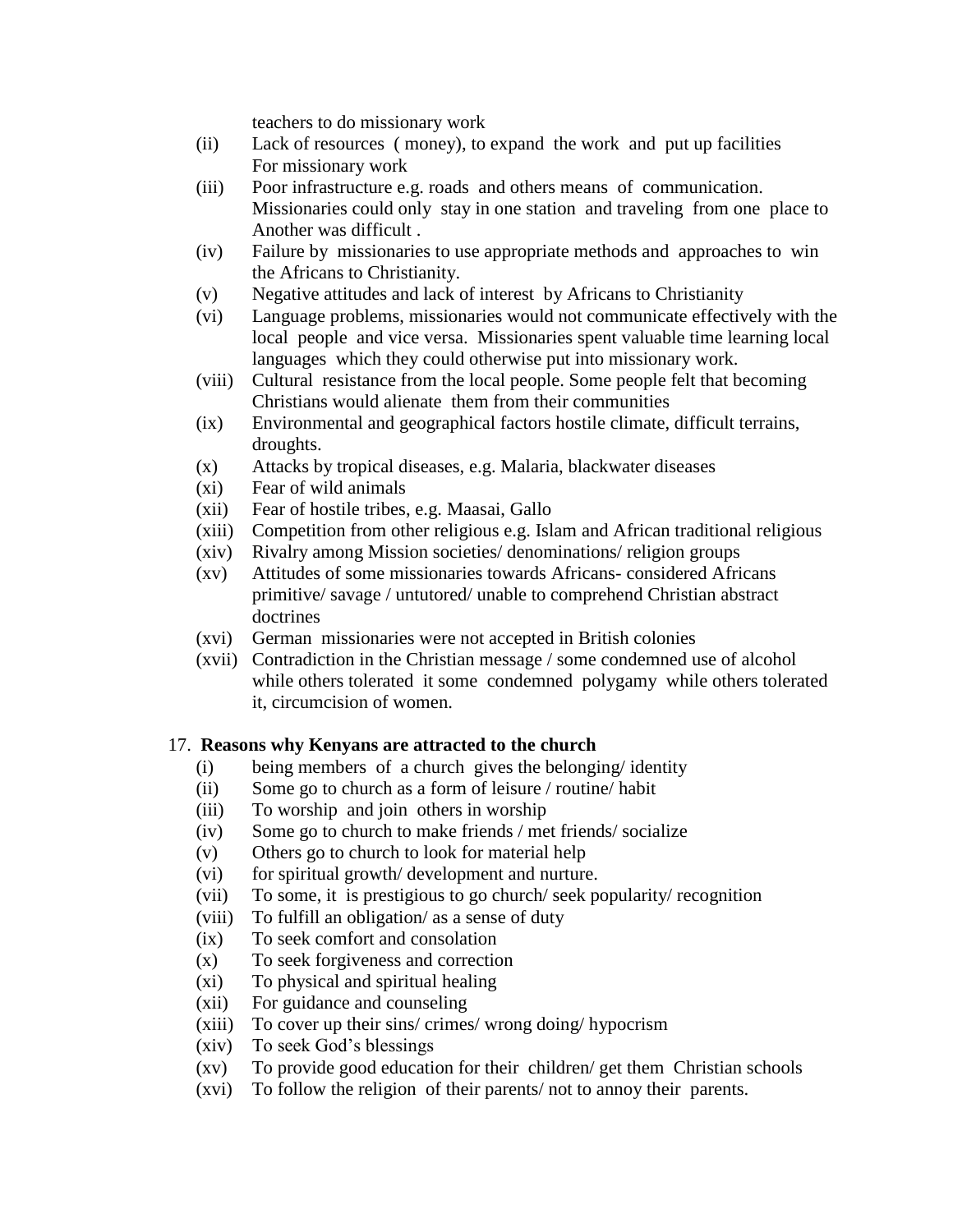teachers to do missionary work

- (ii) Lack of resources ( money), to expand the work and put up facilities For missionary work
- (iii) Poor infrastructure e.g. roads and others means of communication. Missionaries could only stay in one station and traveling from one place to Another was difficult .
- (iv) Failure by missionaries to use appropriate methods and approaches to win the Africans to Christianity.
- (v) Negative attitudes and lack of interest by Africans to Christianity
- (vi) Language problems, missionaries would not communicate effectively with the local people and vice versa. Missionaries spent valuable time learning local languages which they could otherwise put into missionary work.
- (viii) Cultural resistance from the local people. Some people felt that becoming Christians would alienate them from their communities
- (ix) Environmental and geographical factors hostile climate, difficult terrains, droughts.
- (x) Attacks by tropical diseases, e.g. Malaria, blackwater diseases
- (xi) Fear of wild animals
- (xii) Fear of hostile tribes, e.g. Maasai, Gallo
- (xiii) Competition from other religious e.g. Islam and African traditional religious
- (xiv) Rivalry among Mission societies/ denominations/ religion groups
- (xv) Attitudes of some missionaries towards Africans- considered Africans primitive/ savage / untutored/ unable to comprehend Christian abstract doctrines
- (xvi) German missionaries were not accepted in British colonies
- (xvii) Contradiction in the Christian message / some condemned use of alcohol while others tolerated it some condemned polygamy while others tolerated it, circumcision of women.

### 17. **Reasons why Kenyans are attracted to the church**

- (i) being members of a church gives the belonging/ identity
- (ii) Some go to church as a form of leisure / routine/ habit
- (iii) To worship and join others in worship
- (iv) Some go to church to make friends / met friends/ socialize
- (v) Others go to church to look for material help
- (vi) for spiritual growth/ development and nurture.
- (vii) To some, it is prestigious to go church/ seek popularity/ recognition
- (viii) To fulfill an obligation/ as a sense of duty
- (ix) To seek comfort and consolation
- (x) To seek forgiveness and correction
- (xi) To physical and spiritual healing
- (xii) For guidance and counseling
- (xiii) To cover up their sins/ crimes/ wrong doing/ hypocrism
- (xiv) To seek God's blessings
- (xv) To provide good education for their children/ get them Christian schools
- (xvi) To follow the religion of their parents/ not to annoy their parents.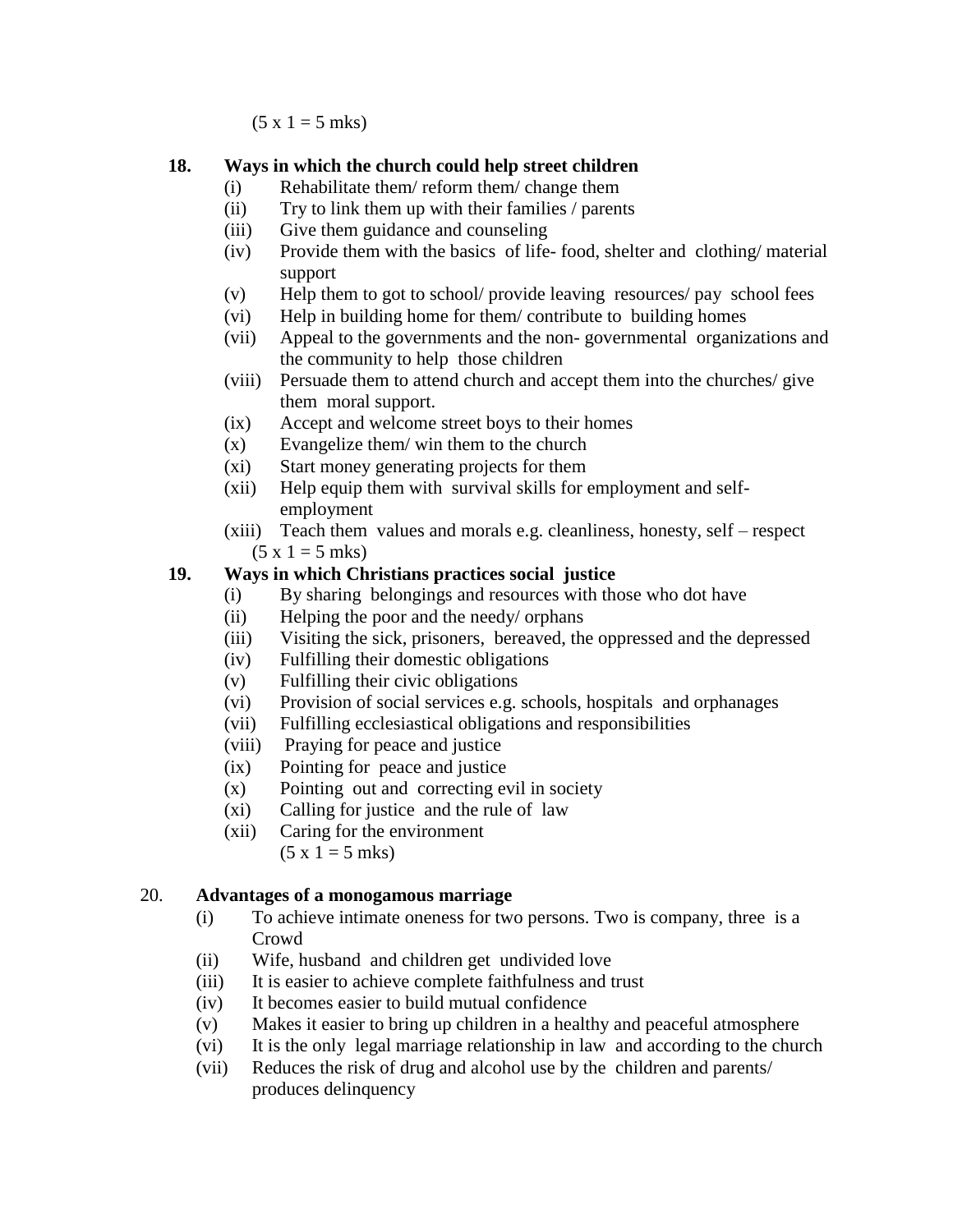$(5 x 1 = 5 mks)$ 

## **18. Ways in which the church could help street children**

- (i) Rehabilitate them/ reform them/ change them
- (ii) Try to link them up with their families / parents
- (iii) Give them guidance and counseling
- (iv) Provide them with the basics of life- food, shelter and clothing/ material support
- (v) Help them to got to school/ provide leaving resources/ pay school fees
- (vi) Help in building home for them/ contribute to building homes
- (vii) Appeal to the governments and the non- governmental organizations and the community to help those children
- (viii) Persuade them to attend church and accept them into the churches/ give them moral support.
- (ix) Accept and welcome street boys to their homes
- (x) Evangelize them/ win them to the church
- (xi) Start money generating projects for them
- (xii) Help equip them with survival skills for employment and selfemployment
- (xiii) Teach them values and morals e.g. cleanliness, honesty, self respect  $(5 x 1 = 5 mks)$

# **19. Ways in which Christians practices social justice**

- (i) By sharing belongings and resources with those who dot have
- (ii) Helping the poor and the needy/ orphans
- (iii) Visiting the sick, prisoners, bereaved, the oppressed and the depressed
- (iv) Fulfilling their domestic obligations
- (v) Fulfilling their civic obligations
- (vi) Provision of social services e.g. schools, hospitals and orphanages
- (vii) Fulfilling ecclesiastical obligations and responsibilities
- (viii) Praying for peace and justice
- (ix) Pointing for peace and justice
- (x) Pointing out and correcting evil in society
- (xi) Calling for justice and the rule of law
- (xii) Caring for the environment  $(5 x 1 = 5 mks)$

# 20. **Advantages of a monogamous marriage**

- (i) To achieve intimate oneness for two persons. Two is company, three is a Crowd
- (ii) Wife, husband and children get undivided love
- (iii) It is easier to achieve complete faithfulness and trust
- (iv) It becomes easier to build mutual confidence
- (v) Makes it easier to bring up children in a healthy and peaceful atmosphere
- (vi) It is the only legal marriage relationship in law and according to the church
- (vii) Reduces the risk of drug and alcohol use by the children and parents/ produces delinquency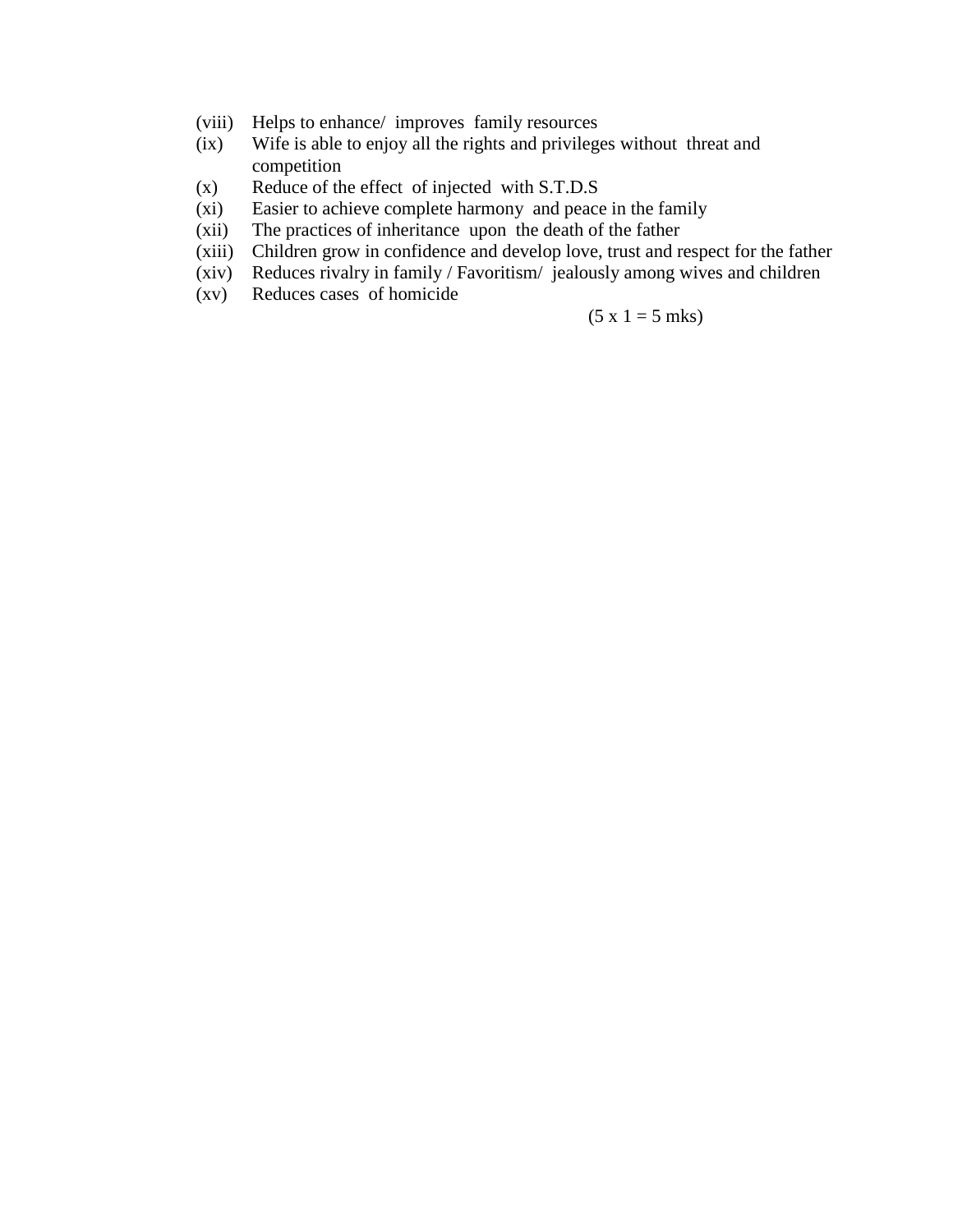- (viii) Helps to enhance/ improves family resources
- (ix) Wife is able to enjoy all the rights and privileges without threat and competition
- (x) Reduce of the effect of injected with S.T.D.S
- (xi) Easier to achieve complete harmony and peace in the family
- (xii) The practices of inheritance upon the death of the father
- (xiii) Children grow in confidence and develop love, trust and respect for the father
- (xiv) Reduces rivalry in family / Favoritism/ jealously among wives and children
- (xv) Reduces cases of homicide

#### $(5 x 1 = 5 mks)$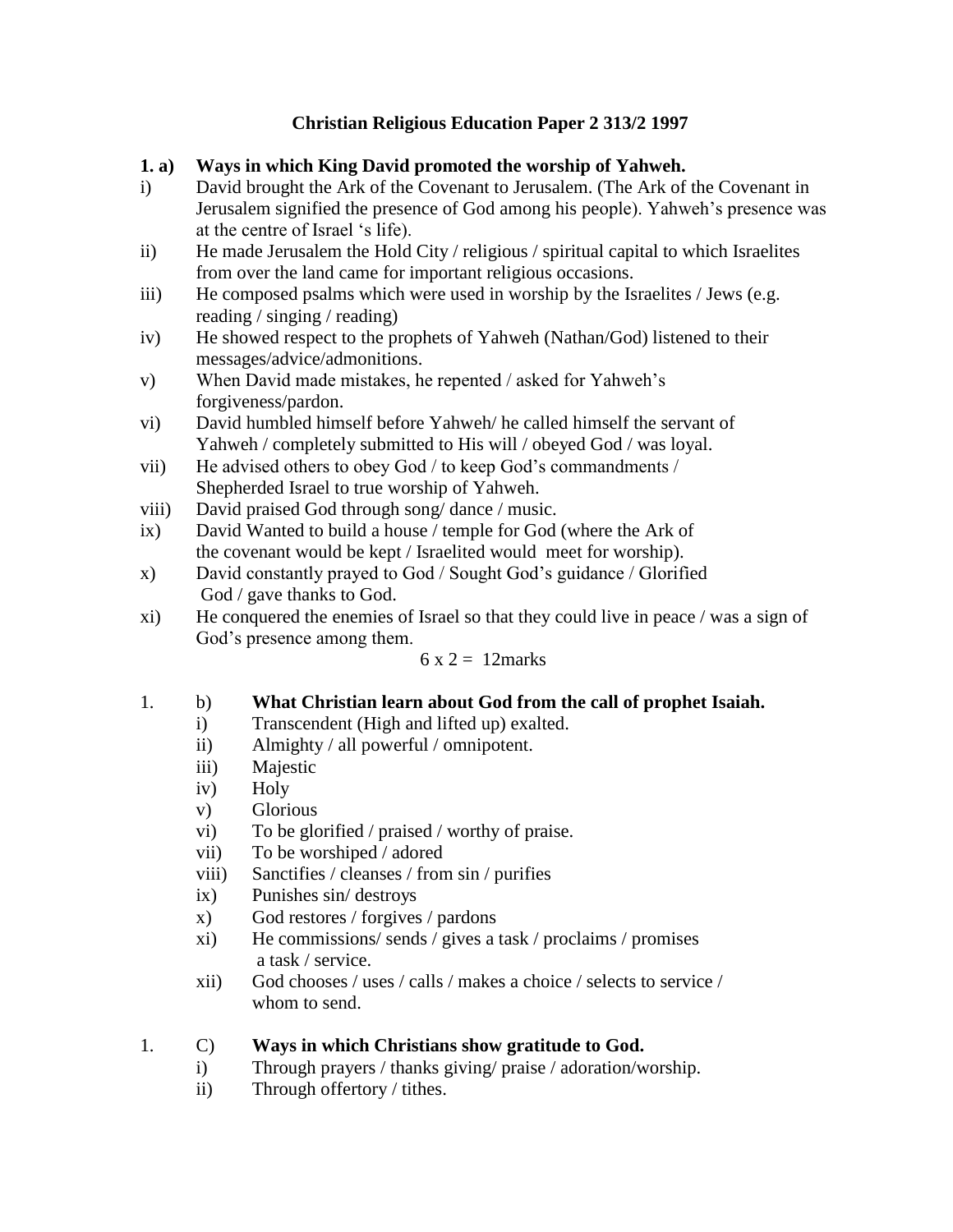# **Christian Religious Education Paper 2 313/2 1997**

# **1. a) Ways in which King David promoted the worship of Yahweh.**

- i) David brought the Ark of the Covenant to Jerusalem. (The Ark of the Covenant in Jerusalem signified the presence of God among his people). Yahweh's presence was at the centre of Israel 's life).
- ii) He made Jerusalem the Hold City / religious / spiritual capital to which Israelites from over the land came for important religious occasions.
- iii) He composed psalms which were used in worship by the Israelites / Jews (e.g. reading / singing / reading)
- iv) He showed respect to the prophets of Yahweh (Nathan/God) listened to their messages/advice/admonitions.
- v) When David made mistakes, he repented / asked for Yahweh's forgiveness/pardon.
- vi) David humbled himself before Yahweh/ he called himself the servant of Yahweh / completely submitted to His will / obeyed God / was loyal.
- vii) He advised others to obey God / to keep God's commandments / Shepherded Israel to true worship of Yahweh.
- viii) David praised God through song/ dance / music.
- ix) David Wanted to build a house / temple for God (where the Ark of the covenant would be kept / Israelited would meet for worship).
- x) David constantly prayed to God / Sought God's guidance / Glorified God / gave thanks to God.
- xi) He conquered the enemies of Israel so that they could live in peace / was a sign of God's presence among them.

# $6 \times 2 = 12$ marks

- 1. b) **What Christian learn about God from the call of prophet Isaiah.**
	- i) Transcendent (High and lifted up) exalted.
	- ii) Almighty / all powerful / omnipotent.
	- iii) Majestic
	- iv) Holy
	- v) Glorious
	- vi) To be glorified / praised / worthy of praise.
	- vii) To be worshiped / adored
	- viii) Sanctifies / cleanses / from sin / purifies
	- ix) Punishes sin/ destroys
	- x) God restores / forgives / pardons
	- xi) He commissions/ sends / gives a task / proclaims / promises a task / service.
	- xii) God chooses / uses / calls / makes a choice / selects to service / whom to send.

# 1. C) **Ways in which Christians show gratitude to God.**

- i) Through prayers / thanks giving/ praise / adoration/worship.
- ii) Through offertory / tithes.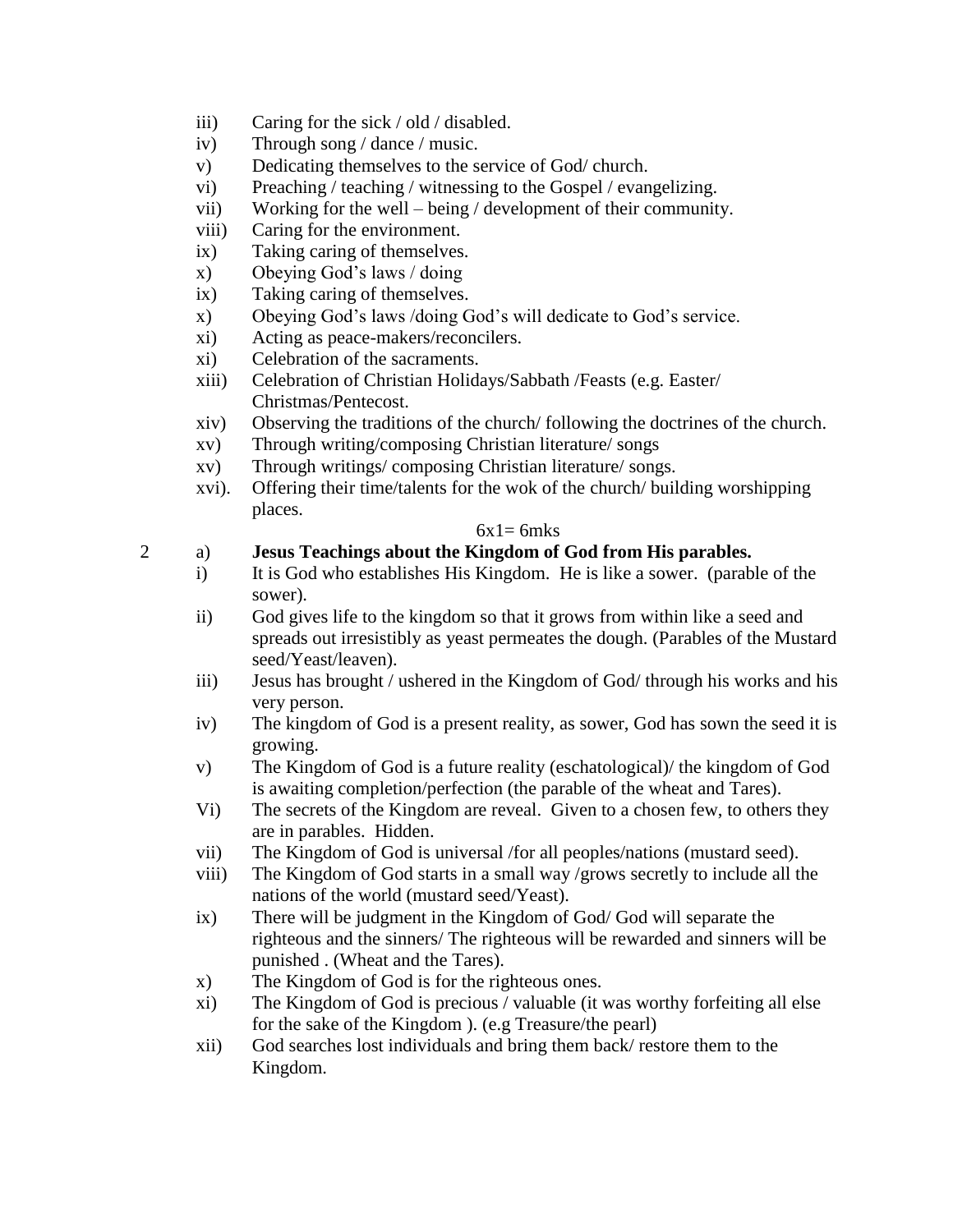- iii) Caring for the sick / old / disabled.
- iv) Through song / dance / music.
- v) Dedicating themselves to the service of God/ church.
- vi) Preaching / teaching / witnessing to the Gospel / evangelizing.
- vii) Working for the well being / development of their community.
- viii) Caring for the environment.
- ix) Taking caring of themselves.
- x) Obeying God's laws / doing
- ix) Taking caring of themselves.
- x) Obeying God's laws /doing God's will dedicate to God's service.
- xi) Acting as peace-makers/reconcilers.
- xi) Celebration of the sacraments.
- xiii) Celebration of Christian Holidays/Sabbath /Feasts (e.g. Easter/ Christmas/Pentecost.
- xiv) Observing the traditions of the church/ following the doctrines of the church.
- xv) Through writing/composing Christian literature/ songs
- xv) Through writings/ composing Christian literature/ songs.
- xvi). Offering their time/talents for the wok of the church/ building worshipping places.

### $6x1=6mks$

# 2 a) **Jesus Teachings about the Kingdom of God from His parables.**

- i) It is God who establishes His Kingdom. He is like a sower. (parable of the sower).
- ii) God gives life to the kingdom so that it grows from within like a seed and spreads out irresistibly as yeast permeates the dough. (Parables of the Mustard seed/Yeast/leaven).
- iii) Jesus has brought / ushered in the Kingdom of God/ through his works and his very person.
- iv) The kingdom of God is a present reality, as sower, God has sown the seed it is growing.
- v) The Kingdom of God is a future reality (eschatological)/ the kingdom of God is awaiting completion/perfection (the parable of the wheat and Tares).
- Vi) The secrets of the Kingdom are reveal. Given to a chosen few, to others they are in parables. Hidden.
- vii) The Kingdom of God is universal /for all peoples/nations (mustard seed).
- viii) The Kingdom of God starts in a small way /grows secretly to include all the nations of the world (mustard seed/Yeast).
- ix) There will be judgment in the Kingdom of God/ God will separate the righteous and the sinners/ The righteous will be rewarded and sinners will be punished . (Wheat and the Tares).
- x) The Kingdom of God is for the righteous ones.
- xi) The Kingdom of God is precious / valuable (it was worthy forfeiting all else for the sake of the Kingdom ). (e.g Treasure/the pearl)
- xii) God searches lost individuals and bring them back/ restore them to the Kingdom.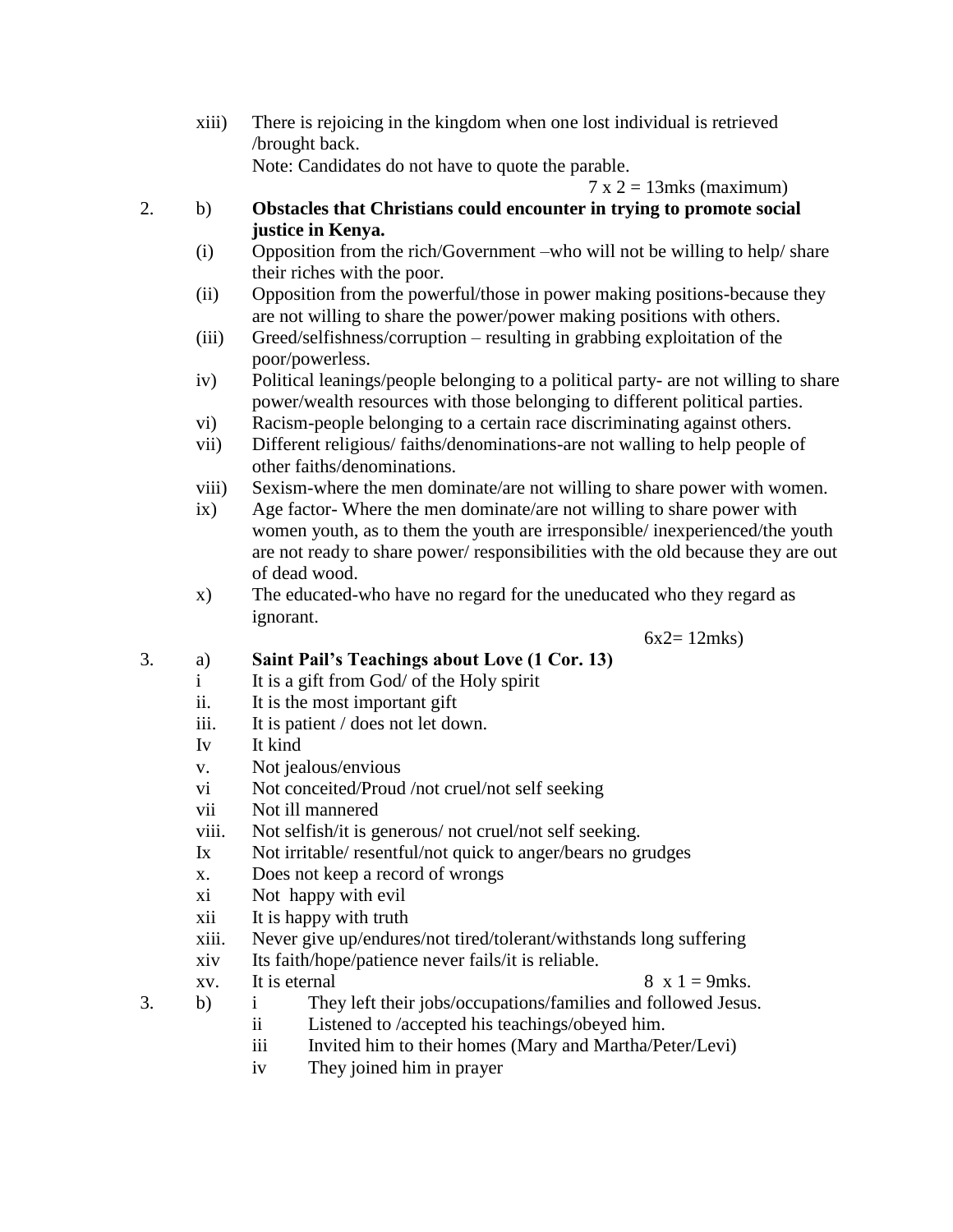xiii) There is rejoicing in the kingdom when one lost individual is retrieved /brought back. Note: Candidates do not have to quote the parable.

```
7 \times 2 = 13mks (maximum)
```
- 2. b) **Obstacles that Christians could encounter in trying to promote social justice in Kenya.**
	- (i) Opposition from the rich/Government –who will not be willing to help/ share their riches with the poor.
	- (ii) Opposition from the powerful/those in power making positions-because they are not willing to share the power/power making positions with others.
	- (iii) Greed/selfishness/corruption resulting in grabbing exploitation of the poor/powerless.
	- iv) Political leanings/people belonging to a political party- are not willing to share power/wealth resources with those belonging to different political parties.
	- vi) Racism-people belonging to a certain race discriminating against others.
	- vii) Different religious/ faiths/denominations-are not walling to help people of other faiths/denominations.
	- viii) Sexism-where the men dominate/are not willing to share power with women.
	- ix) Age factor- Where the men dominate/are not willing to share power with women youth, as to them the youth are irresponsible/ inexperienced/the youth are not ready to share power/ responsibilities with the old because they are out of dead wood.
	- x) The educated-who have no regard for the uneducated who they regard as ignorant.

 $6x2 = 12$ mks)

# 3. a) **Saint Pail's Teachings about Love (1 Cor. 13)**

- i It is a gift from God/ of the Holy spirit
- ii. It is the most important gift
- iii. It is patient / does not let down.
- Iv It kind
- v. Not jealous/envious
- vi Not conceited/Proud /not cruel/not self seeking
- vii Not ill mannered
- viii. Not selfish/it is generous/ not cruel/not self seeking.
- Ix Not irritable/ resentful/not quick to anger/bears no grudges
- x. Does not keep a record of wrongs
- xi Not happy with evil
- xii It is happy with truth
- xiii. Never give up/endures/not tired/tolerant/withstands long suffering
- xiv Its faith/hope/patience never fails/it is reliable.
- xv. It is eternal  $8 \times 1 = 9$ mks.

- 
- 3. b) i They left their jobs/occupations/families and followed Jesus.
	- ii Listened to /accepted his teachings/obeyed him.
	- iii Invited him to their homes (Mary and Martha/Peter/Levi)
	- iv They joined him in prayer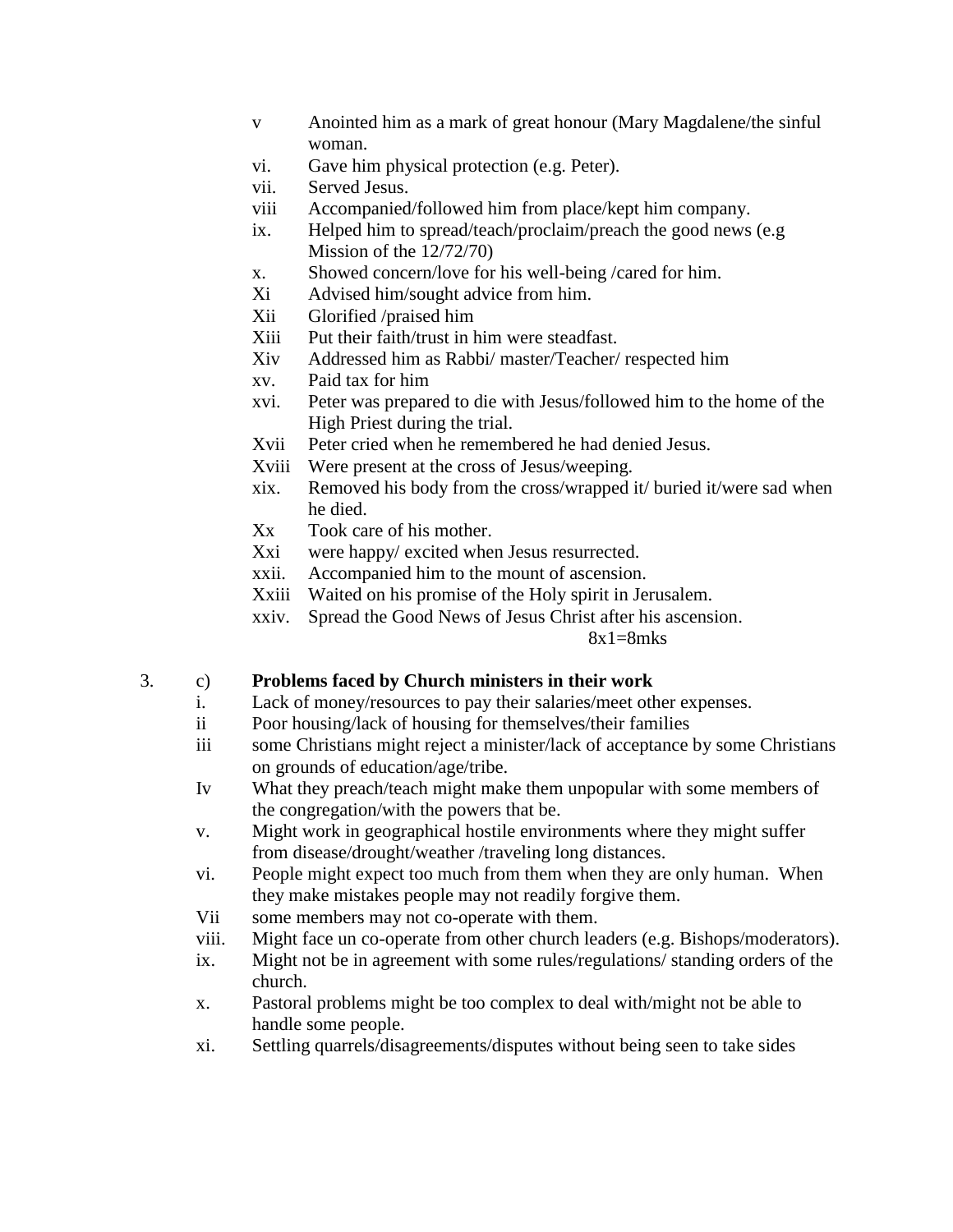- v Anointed him as a mark of great honour (Mary Magdalene/the sinful woman.
- vi. Gave him physical protection (e.g. Peter).
- vii. Served Jesus.
- viii Accompanied/followed him from place/kept him company.
- ix. Helped him to spread/teach/proclaim/preach the good news (e.g Mission of the 12/72/70)
- x. Showed concern/love for his well-being /cared for him.
- Xi Advised him/sought advice from him.
- Xii Glorified /praised him
- Xiii Put their faith/trust in him were steadfast.
- Xiv Addressed him as Rabbi/ master/Teacher/ respected him
- xv. Paid tax for him
- xvi. Peter was prepared to die with Jesus/followed him to the home of the High Priest during the trial.
- Xvii Peter cried when he remembered he had denied Jesus.
- Xviii Were present at the cross of Jesus/weeping.
- xix. Removed his body from the cross/wrapped it/ buried it/were sad when he died.
- Xx Took care of his mother.
- Xxi were happy/ excited when Jesus resurrected.
- xxii. Accompanied him to the mount of ascension.
- Xxiii Waited on his promise of the Holy spirit in Jerusalem.
- xxiv. Spread the Good News of Jesus Christ after his ascension.

 $8x1=8mks$ 

# 3. c) **Problems faced by Church ministers in their work**

- i. Lack of money/resources to pay their salaries/meet other expenses.
- ii Poor housing/lack of housing for themselves/their families
- iii some Christians might reject a minister/lack of acceptance by some Christians on grounds of education/age/tribe.
- Iv What they preach/teach might make them unpopular with some members of the congregation/with the powers that be.
- v. Might work in geographical hostile environments where they might suffer from disease/drought/weather /traveling long distances.
- vi. People might expect too much from them when they are only human. When they make mistakes people may not readily forgive them.
- Vii some members may not co-operate with them.
- viii. Might face un co-operate from other church leaders (e.g. Bishops/moderators).
- ix. Might not be in agreement with some rules/regulations/ standing orders of the church.
- x. Pastoral problems might be too complex to deal with/might not be able to handle some people.
- xi. Settling quarrels/disagreements/disputes without being seen to take sides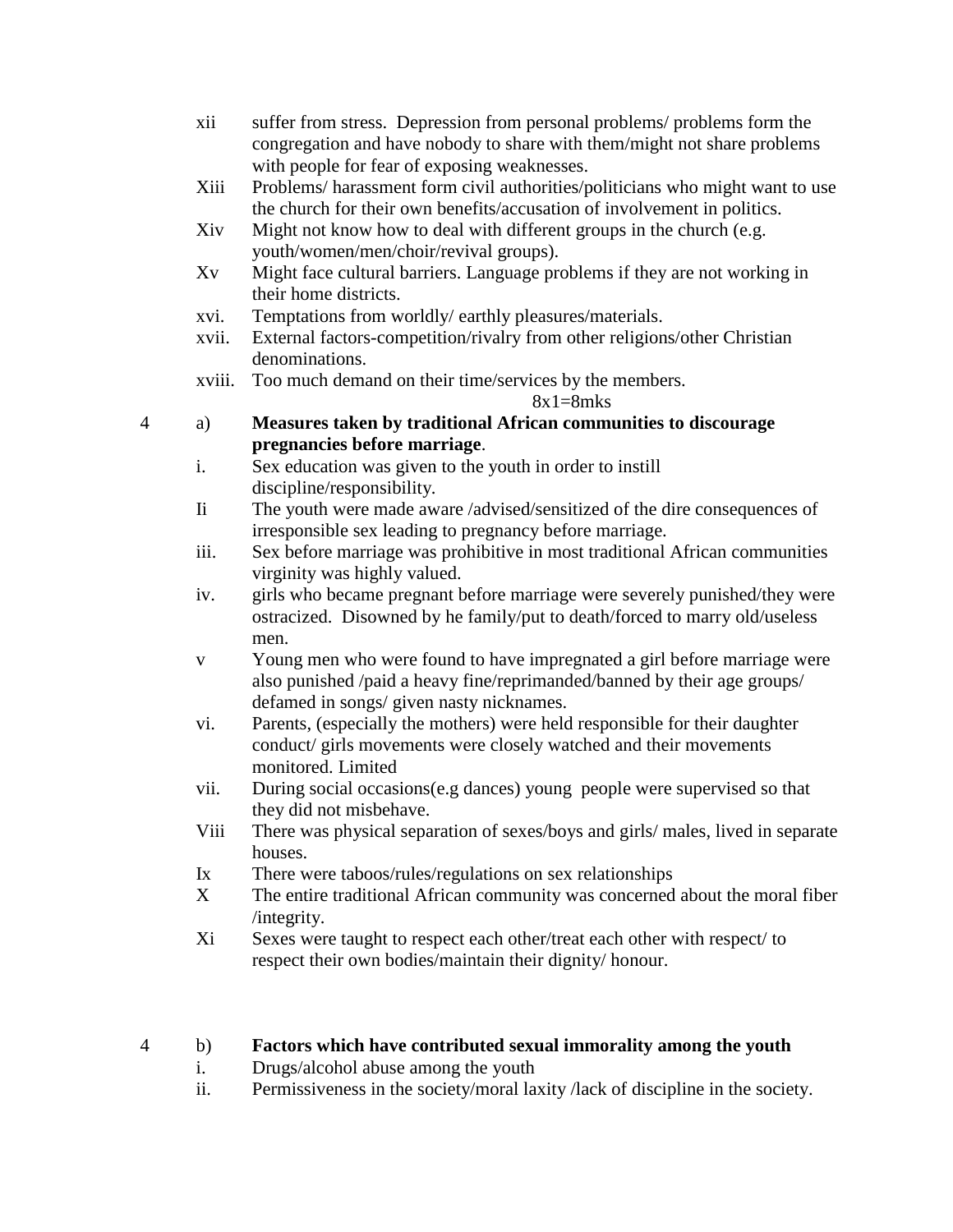- xii suffer from stress. Depression from personal problems/ problems form the congregation and have nobody to share with them/might not share problems with people for fear of exposing weaknesses.
- Xiii Problems/ harassment form civil authorities/politicians who might want to use the church for their own benefits/accusation of involvement in politics.
- Xiv Might not know how to deal with different groups in the church (e.g. youth/women/men/choir/revival groups).
- Xv Might face cultural barriers. Language problems if they are not working in their home districts.
- xvi. Temptations from worldly/ earthly pleasures/materials.
- xvii. External factors-competition/rivalry from other religions/other Christian denominations.
- xviii. Too much demand on their time/services by the members.

### $8x1=8mks$

- 4 a) **Measures taken by traditional African communities to discourage pregnancies before marriage**.
	- i. Sex education was given to the youth in order to instill discipline/responsibility.
	- Ii The youth were made aware /advised/sensitized of the dire consequences of irresponsible sex leading to pregnancy before marriage.
	- iii. Sex before marriage was prohibitive in most traditional African communities virginity was highly valued.
	- iv. girls who became pregnant before marriage were severely punished/they were ostracized. Disowned by he family/put to death/forced to marry old/useless men.
	- v Young men who were found to have impregnated a girl before marriage were also punished /paid a heavy fine/reprimanded/banned by their age groups/ defamed in songs/ given nasty nicknames.
	- vi. Parents, (especially the mothers) were held responsible for their daughter conduct/ girls movements were closely watched and their movements monitored. Limited
	- vii. During social occasions(e.g dances) young people were supervised so that they did not misbehave.
	- Viii There was physical separation of sexes/boys and girls/ males, lived in separate houses.
	- Ix There were taboos/rules/regulations on sex relationships
	- X The entire traditional African community was concerned about the moral fiber /integrity.
	- Xi Sexes were taught to respect each other/treat each other with respect/ to respect their own bodies/maintain their dignity/ honour.

# 4 b) **Factors which have contributed sexual immorality among the youth**

- i. Drugs/alcohol abuse among the youth
- ii. Permissiveness in the society/moral laxity /lack of discipline in the society.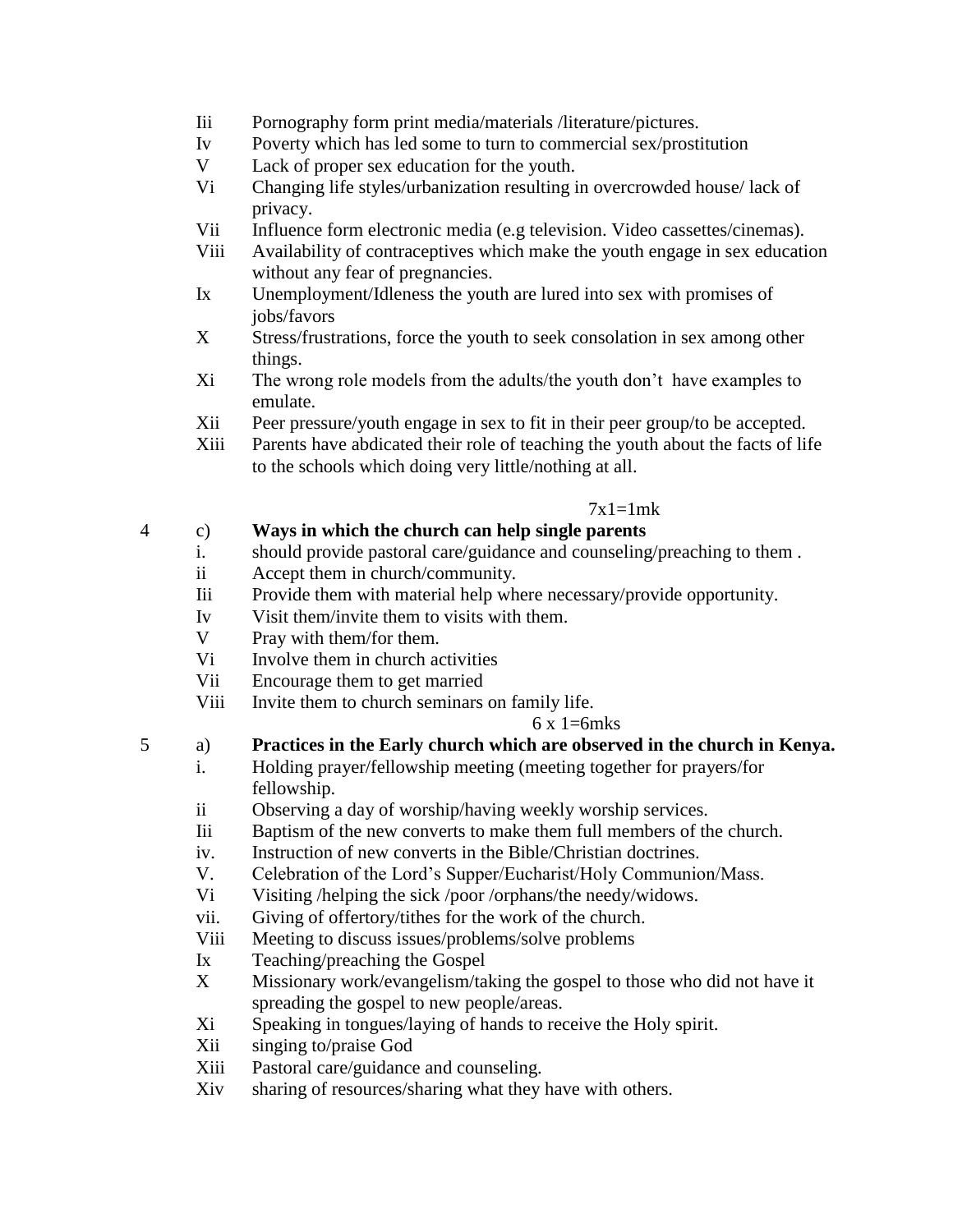- Iii Pornography form print media/materials /literature/pictures.
- Iv Poverty which has led some to turn to commercial sex/prostitution
- V Lack of proper sex education for the youth.
- Vi Changing life styles/urbanization resulting in overcrowded house/ lack of privacy.
- Vii Influence form electronic media (e.g television. Video cassettes/cinemas).
- Viii Availability of contraceptives which make the youth engage in sex education without any fear of pregnancies.
- Ix Unemployment/Idleness the youth are lured into sex with promises of jobs/favors
- X Stress/frustrations, force the youth to seek consolation in sex among other things.
- Xi The wrong role models from the adults/the youth don't have examples to emulate.
- Xii Peer pressure/youth engage in sex to fit in their peer group/to be accepted.
- Xiii Parents have abdicated their role of teaching the youth about the facts of life to the schools which doing very little/nothing at all.

### $7x1=1$ mk

# 4 c) **Ways in which the church can help single parents**

- i. should provide pastoral care/guidance and counseling/preaching to them .
- ii Accept them in church/community.
- Iii Provide them with material help where necessary/provide opportunity.
- Iv Visit them/invite them to visits with them.
- V Pray with them/for them.
- V<sub>i</sub> Involve them in church activities
- Vii Encourage them to get married
- Viii Invite them to church seminars on family life.

### $6 \times 1 = 6$ mks

- 5 a) **Practices in the Early church which are observed in the church in Kenya.**
	- i. Holding prayer/fellowship meeting (meeting together for prayers/for fellowship.
	- ii Observing a day of worship/having weekly worship services.
	- Iii Baptism of the new converts to make them full members of the church.
	- iv. Instruction of new converts in the Bible/Christian doctrines.
	- V. Celebration of the Lord's Supper/Eucharist/Holy Communion/Mass.
	- Vi Visiting /helping the sick /poor /orphans/the needy/widows.
	- vii. Giving of offertory/tithes for the work of the church.
	- Viii Meeting to discuss issues/problems/solve problems
	- Ix Teaching/preaching the Gospel
	- X Missionary work/evangelism/taking the gospel to those who did not have it spreading the gospel to new people/areas.
	- Xi Speaking in tongues/laying of hands to receive the Holy spirit.
	- Xii singing to/praise God
	- Xiii Pastoral care/guidance and counseling.
	- Xiv sharing of resources/sharing what they have with others.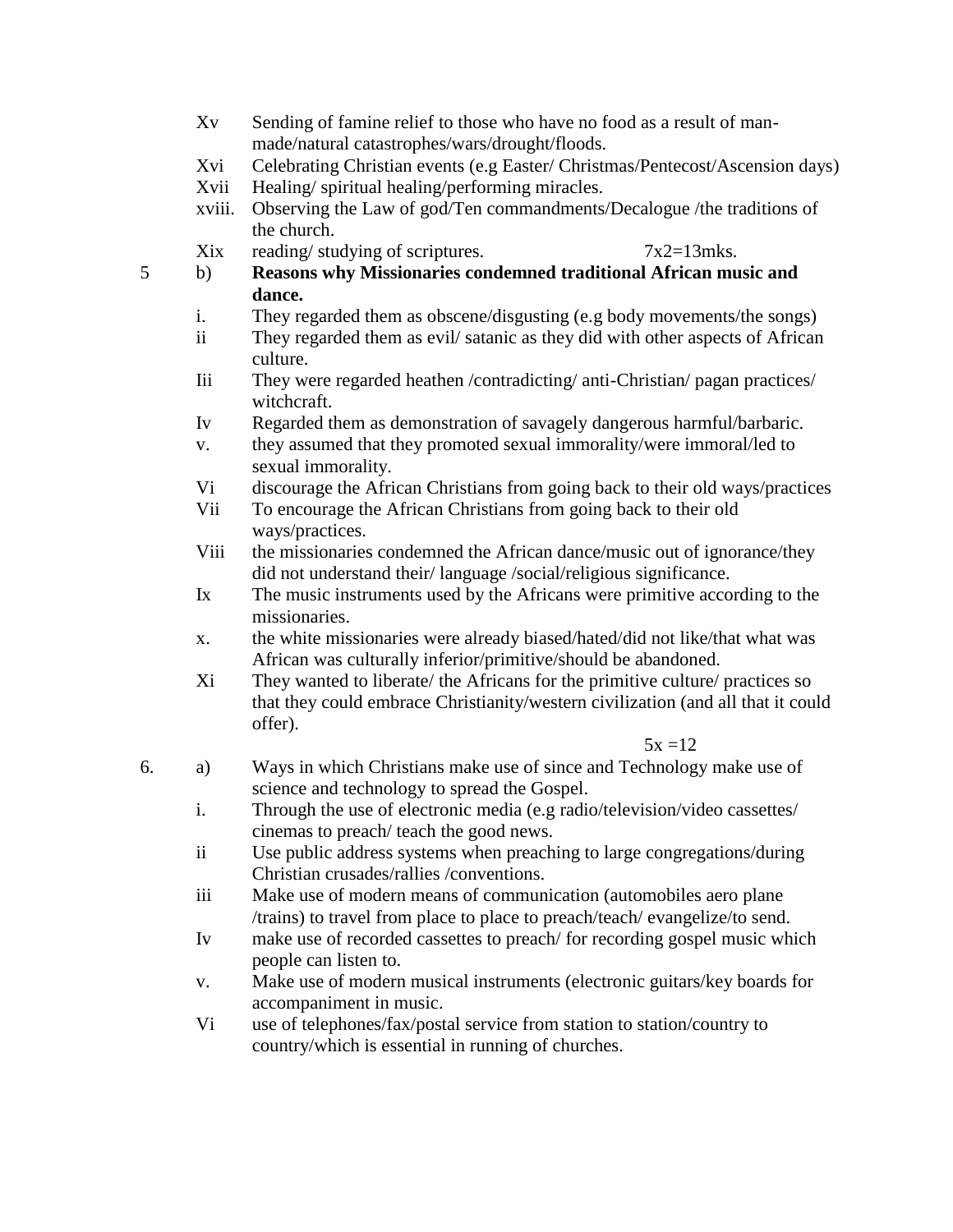- Xv Sending of famine relief to those who have no food as a result of manmade/natural catastrophes/wars/drought/floods.
- Xvi Celebrating Christian events (e.g Easter/ Christmas/Pentecost/Ascension days)
- Xvii Healing/ spiritual healing/performing miracles.
- xviii. Observing the Law of god/Ten commandments/Decalogue /the traditions of the church.

Xix reading/ studying of scriptures.  $7x2=13$ mks.

- 5 b) **Reasons why Missionaries condemned traditional African music and dance.**
	- i. They regarded them as obscene/disgusting (e.g body movements/the songs)
	- ii They regarded them as evil/ satanic as they did with other aspects of African culture.
	- Iii They were regarded heathen /contradicting/ anti-Christian/ pagan practices/ witchcraft.
	- Iv Regarded them as demonstration of savagely dangerous harmful/barbaric.
	- v. they assumed that they promoted sexual immorality/were immoral/led to sexual immorality.
	- Vi discourage the African Christians from going back to their old ways/practices
	- Vii To encourage the African Christians from going back to their old ways/practices.
	- Viii the missionaries condemned the African dance/music out of ignorance/they did not understand their/ language /social/religious significance.
	- Ix The music instruments used by the Africans were primitive according to the missionaries.
	- x. the white missionaries were already biased/hated/did not like/that what was African was culturally inferior/primitive/should be abandoned.
	- Xi They wanted to liberate/ the Africans for the primitive culture/ practices so that they could embrace Christianity/western civilization (and all that it could offer).

#### $5x = 12$

- 6. a) Ways in which Christians make use of since and Technology make use of science and technology to spread the Gospel.
	- i. Through the use of electronic media (e.g radio/television/video cassettes/ cinemas to preach/ teach the good news.
	- ii Use public address systems when preaching to large congregations/during Christian crusades/rallies /conventions.
	- iii Make use of modern means of communication (automobiles aero plane /trains) to travel from place to place to preach/teach/ evangelize/to send.
	- Iv make use of recorded cassettes to preach/ for recording gospel music which people can listen to.
	- v. Make use of modern musical instruments (electronic guitars/key boards for accompaniment in music.
	- Vi use of telephones/fax/postal service from station to station/country to country/which is essential in running of churches.